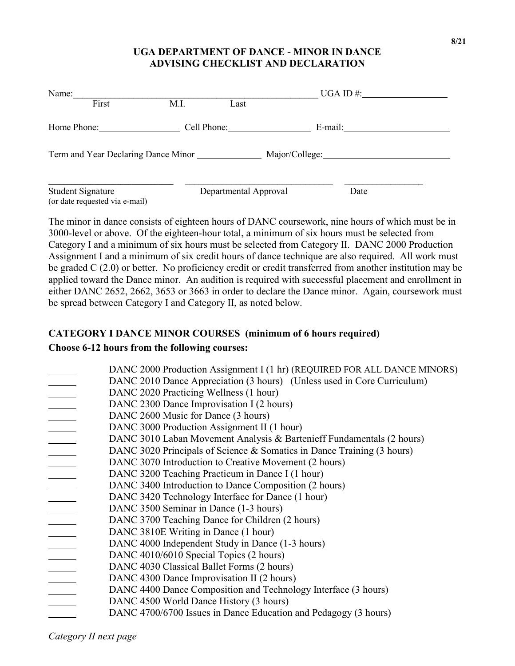## **UGA DEPARTMENT OF DANCE - MINOR IN DANCE ADVISING CHECKLIST AND DECLARATION**

| Name:                                               |             |                       | $UGA ID \#$ :  |  |
|-----------------------------------------------------|-------------|-----------------------|----------------|--|
| First                                               | M.I.        | Last                  |                |  |
| Home Phone:                                         | Cell Phone: |                       | E-mail:        |  |
|                                                     |             |                       | Major/College: |  |
| Student Signature<br>(or date requested via e-mail) |             | Departmental Approval | Date           |  |

The minor in dance consists of eighteen hours of DANC coursework, nine hours of which must be in 3000-level or above. Of the eighteen-hour total, a minimum of six hours must be selected from Category I and a minimum of six hours must be selected from Category II. DANC 2000 Production Assignment I and a minimum of six credit hours of dance technique are also required. All work must be graded C (2.0) or better. No proficiency credit or credit transferred from another institution may be applied toward the Dance minor. An audition is required with successful placement and enrollment in either DANC 2652, 2662, 3653 or 3663 in order to declare the Dance minor. Again, coursework must be spread between Category I and Category II, as noted below.

## **CATEGORY I DANCE MINOR COURSES (minimum of 6 hours required)**

## **Choose 6-12 hours from the following courses:**

|                          | DANC 2000 Production Assignment I (1 hr) (REQUIRED FOR ALL DANCE MINORS) |
|--------------------------|--------------------------------------------------------------------------|
|                          | DANC 2010 Dance Appreciation (3 hours) (Unless used in Core Curriculum)  |
|                          | DANC 2020 Practicing Wellness (1 hour)                                   |
|                          | DANC 2300 Dance Improvisation I (2 hours)                                |
|                          | DANC 2600 Music for Dance (3 hours)                                      |
| $\overline{\phantom{a}}$ | DANC 3000 Production Assignment II (1 hour)                              |
|                          | DANC 3010 Laban Movement Analysis & Bartenieff Fundamentals (2 hours)    |
|                          | DANC 3020 Principals of Science & Somatics in Dance Training (3 hours)   |
|                          | DANC 3070 Introduction to Creative Movement (2 hours)                    |
|                          | DANC 3200 Teaching Practicum in Dance I (1 hour)                         |
|                          | DANC 3400 Introduction to Dance Composition (2 hours)                    |
|                          | DANC 3420 Technology Interface for Dance (1 hour)                        |
|                          | DANC 3500 Seminar in Dance (1-3 hours)                                   |
|                          | DANC 3700 Teaching Dance for Children (2 hours)                          |
|                          | DANC 3810E Writing in Dance (1 hour)                                     |
|                          | DANC 4000 Independent Study in Dance (1-3 hours)                         |
|                          | DANC 4010/6010 Special Topics (2 hours)                                  |
|                          | DANC 4030 Classical Ballet Forms (2 hours)                               |
|                          | DANC 4300 Dance Improvisation II (2 hours)                               |
|                          | DANC 4400 Dance Composition and Technology Interface (3 hours)           |
|                          | DANC 4500 World Dance History (3 hours)                                  |
|                          | DANC 4700/6700 Issues in Dance Education and Pedagogy (3 hours)          |

*Category II next page*